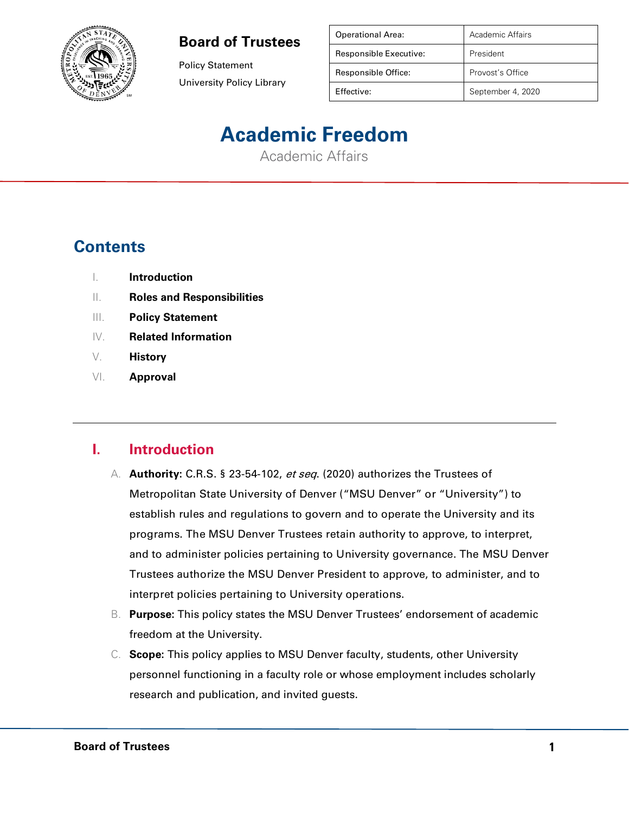

Policy Statement University Policy Library

| <b>Operational Area:</b> | Academic Affairs  |
|--------------------------|-------------------|
| Responsible Executive:   | President         |
| Responsible Office:      | Provost's Office  |
| Effective:               | September 4, 2020 |

# **Academic Freedom**

Academic Affairs

## **Contents**

- I. **Introduction**
- II. **Roles and Responsibilities**
- III. **Policy Statement**
- IV. **Related Information**
- V. **History**
- VI. **Approval**

#### **I. Introduction**

- A. **Authority:** C.R.S. § 23-54-102, et seq. (2020) authorizes the Trustees of Metropolitan State University of Denver ("MSU Denver" or "University") to establish rules and regulations to govern and to operate the University and its programs. The MSU Denver Trustees retain authority to approve, to interpret, and to administer policies pertaining to University governance. The MSU Denver Trustees authorize the MSU Denver President to approve, to administer, and to interpret policies pertaining to University operations.
- B. **Purpose:** This policy states the MSU Denver Trustees' endorsement of academic freedom at the University.
- C. **Scope:** This policy applies to MSU Denver faculty, students, other University personnel functioning in a faculty role or whose employment includes scholarly research and publication, and invited guests.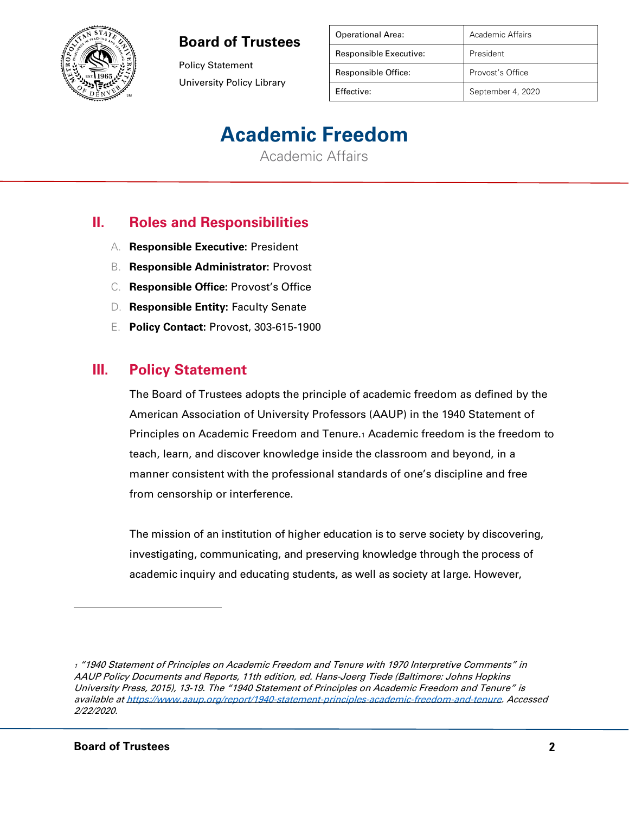

Policy Statement University Policy Library

| <b>Operational Area:</b> | Academic Affairs  |
|--------------------------|-------------------|
| Responsible Executive:   | President         |
| Responsible Office:      | Provost's Office  |
| Effective:               | September 4, 2020 |

# **Academic Freedom**

Academic Affairs

## **II. Roles and Responsibilities**

- A. **Responsible Executive:** President
- B. **Responsible Administrator:** Provost
- C. **Responsible Office:** Provost's Office
- D. **Responsible Entity:** Faculty Senate
- E. **Policy Contact:** Provost, 303-615-1900

#### **III. Policy Statement**

The Board of Trustees adopts the principle of academic freedom as defined by the American Association of University Professors (AAUP) in the 1940 Statement of Principles on Academic Freedom and Tenure.<sup>1</sup> Academic freedom is the freedom to teach, learn, and discover knowledge inside the classroom and beyond, in a manner consistent with the professional standards of one's discipline and free from censorship or interference.

The mission of an institution of higher education is to serve society by discovering, investigating, communicating, and preserving knowledge through the process of academic inquiry and educating students, as well as society at large. However,

<sup>1</sup> "1940 Statement of Principles on Academic Freedom and Tenure with 1970 Interpretive Comments" in AAUP Policy Documents and Reports, 11th edition, ed. Hans-Joerg Tiede (Baltimore: Johns Hopkins University Press, 2015), 13-19. The "1940 Statement of Principles on Academic Freedom and Tenure" is available a[t https://www.aaup.org/report/1940-statement-principles-academic-freedom-and-tenure.](https://www.aaup.org/report/1940-statement-principles-academic-freedom-and-tenure) Accessed 2/22/2020.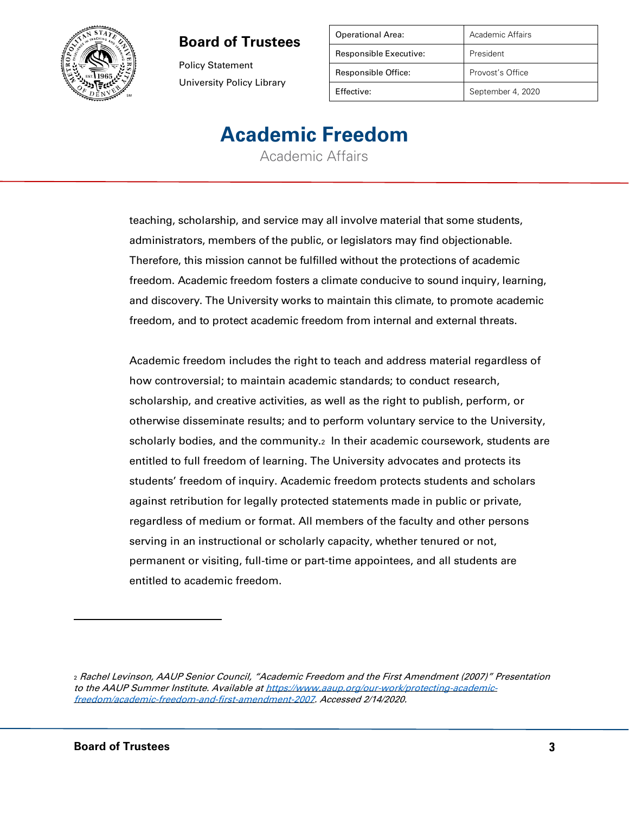

Policy Statement University Policy Library

| Academic Affairs  |
|-------------------|
| President         |
| Provost's Office  |
| September 4, 2020 |
|                   |

# **Academic Freedom**

Academic Affairs

teaching, scholarship, and service may all involve material that some students, administrators, members of the public, or legislators may find objectionable. Therefore, this mission cannot be fulfilled without the protections of academic freedom. Academic freedom fosters a climate conducive to sound inquiry, learning, and discovery. The University works to maintain this climate, to promote academic freedom, and to protect academic freedom from internal and external threats.

Academic freedom includes the right to teach and address material regardless of how controversial; to maintain academic standards; to conduct research, scholarship, and creative activities, as well as the right to publish, perform, or otherwise disseminate results; and to perform voluntary service to the University, scholarly bodies, and the community.<sup>2</sup> In their academic coursework, students are entitled to full freedom of learning. The University advocates and protects its students' freedom of inquiry. Academic freedom protects students and scholars against retribution for legally protected statements made in public or private, regardless of medium or format. All members of the faculty and other persons serving in an instructional or scholarly capacity, whether tenured or not, permanent or visiting, full-time or part-time appointees, and all students are entitled to academic freedom.

<sup>2</sup> Rachel Levinson, AAUP Senior Council, "Academic Freedom and the First Amendment (2007)" Presentation to the AAUP Summer Institute. Available at [https://www.aaup.org/our-work/protecting-academic](https://www.aaup.org/our-work/protecting-academic-freedom/academic-freedom-and-first-amendment-2007)[freedom/academic-freedom-and-first-amendment-2007.](https://www.aaup.org/our-work/protecting-academic-freedom/academic-freedom-and-first-amendment-2007) Accessed 2/14/2020.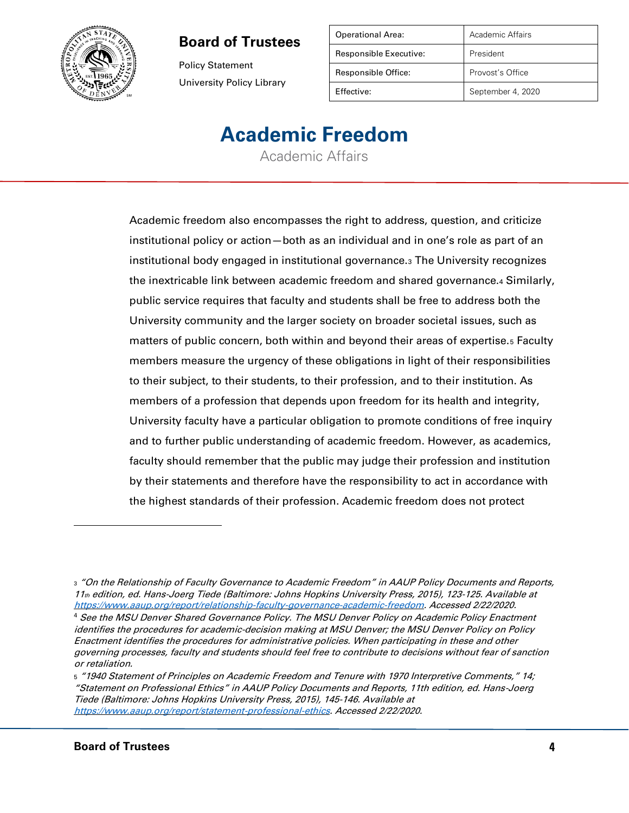

Policy Statement University Policy Library

| <b>Operational Area:</b> | Academic Affairs  |
|--------------------------|-------------------|
| Responsible Executive:   | President         |
| Responsible Office:      | Provost's Office  |
| Effective:               | September 4, 2020 |

# **Academic Freedom**

Academic Affairs

Academic freedom also encompasses the right to address, question, and criticize institutional policy or action—both as an individual and in one's role as part of an institutional body engaged in institutional governance.<sup>3</sup> The University recognizes the inextricable link between academic freedom and shared governance.<sup>4</sup> Similarly, public service requires that faculty and students shall be free to address both the University community and the larger society on broader societal issues, such as matters of public concern, both within and beyond their areas of expertise.<sup>5</sup> Faculty members measure the urgency of these obligations in light of their responsibilities to their subject, to their students, to their profession, and to their institution. As members of a profession that depends upon freedom for its health and integrity, University faculty have a particular obligation to promote conditions of free inquiry and to further public understanding of academic freedom. However, as academics, faculty should remember that the public may judge their profession and institution by their statements and therefore have the responsibility to act in accordance with the highest standards of their profession. Academic freedom does not protect

<sup>4</sup> See the MSU Denver Shared Governance Policy. The MSU Denver Policy on Academic Policy Enactment identifies the procedures for academic-decision making at MSU Denver; the MSU Denver Policy on Policy Enactment identifies the procedures for administrative policies. When participating in these and other governing processes, faculty and students should feel free to contribute to decisions without fear of sanction or retaliation.

5 "1940 Statement of Principles on Academic Freedom and Tenure with 1970 Interpretive Comments," 14; "Statement on Professional Ethics" in AAUP Policy Documents and Reports, 11th edition, ed. Hans-Joerg Tiede (Baltimore: Johns Hopkins University Press, 2015), 145-146. Available at [https://www.aaup.org/report/statement-professional-ethics.](https://www.aaup.org/report/statement-professional-ethics) Accessed 2/22/2020.

<sup>3</sup> "On the Relationship of Faculty Governance to Academic Freedom" in AAUP Policy Documents and Reports, 11th edition, ed. Hans-Joerg Tiede (Baltimore: Johns Hopkins University Press, 2015), 123-125. Available at [https://www.aaup.org/report/relationship-faculty-governance-academic-freedom.](https://www.aaup.org/report/relationship-faculty-governance-academic-freedom) Accessed 2/22/2020.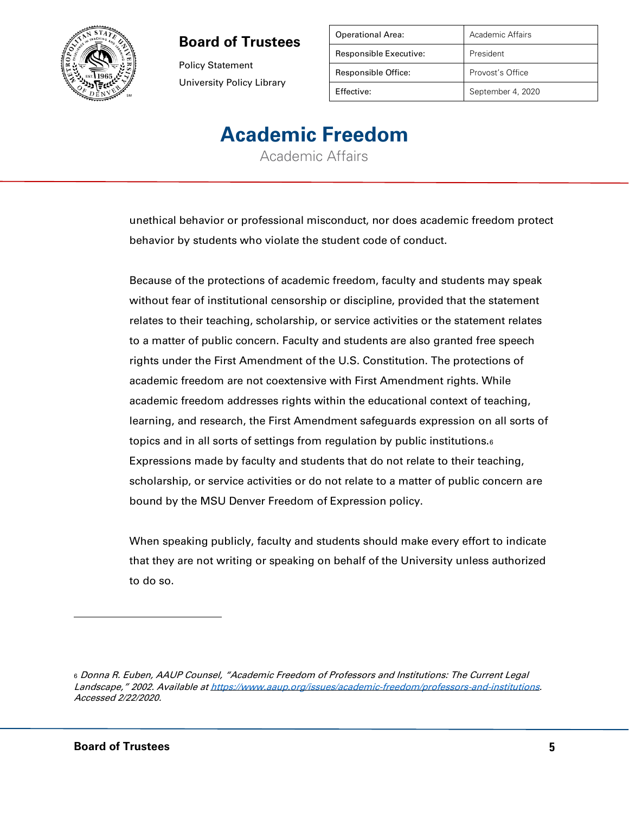

Policy Statement University Policy Library

| Academic Affairs  |
|-------------------|
| President         |
| Provost's Office  |
| September 4, 2020 |
|                   |

# **Academic Freedom**

Academic Affairs

unethical behavior or professional misconduct, nor does academic freedom protect behavior by students who violate the student code of conduct.

Because of the protections of academic freedom, faculty and students may speak without fear of institutional censorship or discipline, provided that the statement relates to their teaching, scholarship, or service activities or the statement relates to a matter of public concern. Faculty and students are also granted free speech rights under the First Amendment of the U.S. Constitution. The protections of academic freedom are not coextensive with First Amendment rights. While academic freedom addresses rights within the educational context of teaching, learning, and research, the First Amendment safeguards expression on all sorts of topics and in all sorts of settings from regulation by public institutions.<sup>6</sup> Expressions made by faculty and students that do not relate to their teaching, scholarship, or service activities or do not relate to a matter of public concern are bound by the MSU Denver Freedom of Expression policy.

When speaking publicly, faculty and students should make every effort to indicate that they are not writing or speaking on behalf of the University unless authorized to do so.

<sup>6</sup> Donna R. Euben, AAUP Counsel, "Academic Freedom of Professors and Institutions: The Current Legal Landscape," 2002. Available at [https://www.aaup.org/issues/academic-freedom/professors-and-institutions.](https://www.aaup.org/issues/academic-freedom/professors-and-institutions) Accessed 2/22/2020.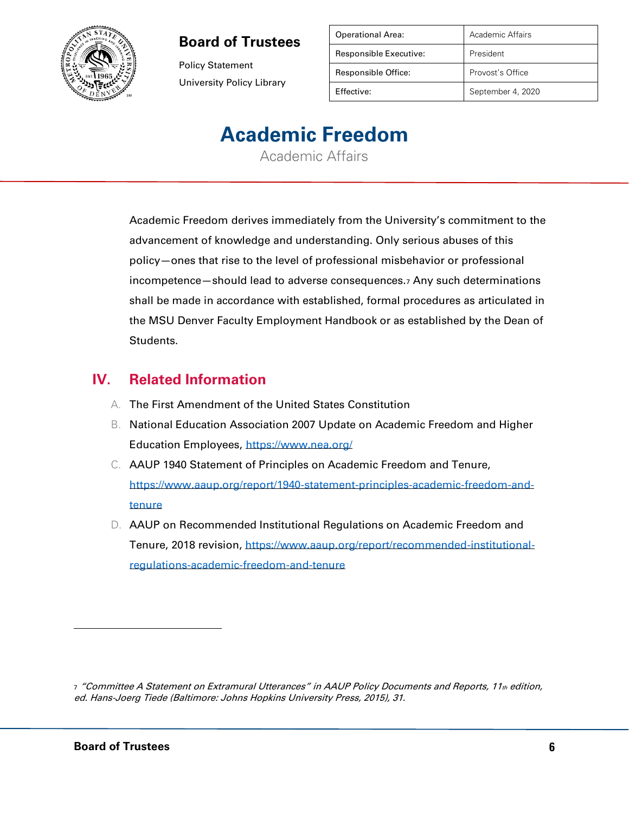

Policy Statement University Policy Library

| <b>Operational Area:</b> | Academic Affairs  |
|--------------------------|-------------------|
| Responsible Executive:   | President         |
| Responsible Office:      | Provost's Office  |
| Effective:               | September 4, 2020 |

# **Academic Freedom**

Academic Affairs

Academic Freedom derives immediately from the University's commitment to the advancement of knowledge and understanding. Only serious abuses of this policy—ones that rise to the level of professional misbehavior or professional incompetence—should lead to adverse consequences.<sup>7</sup> Any such determinations shall be made in accordance with established, formal procedures as articulated in the MSU Denver Faculty Employment Handbook or as established by the Dean of Students.

#### **IV. Related Information**

- A. The First Amendment of the United States Constitution
- B. National Education Association 2007 Update on Academic Freedom and Higher Education Employees,<https://www.nea.org/>
- C. AAUP 1940 Statement of Principles on Academic Freedom and Tenure, [https://www.aaup.org/report/1940-statement-principles-academic-freedom-and](https://www.aaup.org/report/1940-statement-principles-academic-freedom-and-tenure)[tenure](https://www.aaup.org/report/1940-statement-principles-academic-freedom-and-tenure)
- D. AAUP on Recommended Institutional Regulations on Academic Freedom and Tenure, 2018 revision, [https://www.aaup.org/report/recommended-institutional](https://www.aaup.org/report/recommended-institutional-regulations-academic-freedom-and-tenure)[regulations-academic-freedom-and-tenure](https://www.aaup.org/report/recommended-institutional-regulations-academic-freedom-and-tenure)

<sup>7 &</sup>quot;Committee A Statement on Extramural Utterances" in AAUP Policy Documents and Reports, 11th edition, ed. Hans-Joerg Tiede (Baltimore: Johns Hopkins University Press, 2015), 31.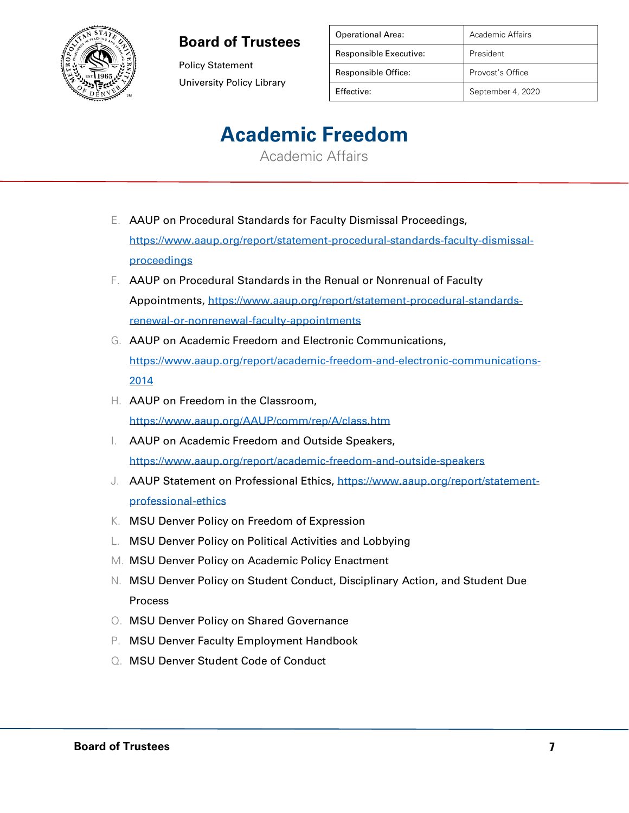

Policy Statement University Policy Library

| <b>Operational Area:</b> | Academic Affairs  |
|--------------------------|-------------------|
| Responsible Executive:   | President         |
| Responsible Office:      | Provost's Office  |
| Effective:               | September 4, 2020 |

# **Academic Freedom**

Academic Affairs

- E. AAUP on Procedural Standards for Faculty Dismissal Proceedings, [https://www.aaup.org/report/statement-procedural-standards-faculty-dismissal](https://www.aaup.org/report/statement-procedural-standards-faculty-dismissal-proceedings)[proceedings](https://www.aaup.org/report/statement-procedural-standards-faculty-dismissal-proceedings)
- F. AAUP on Procedural Standards in the Renual or Nonrenual of Faculty Appointments, [https://www.aaup.org/report/statement-procedural-standards](https://www.aaup.org/report/statement-procedural-standards-renewal-or-nonrenewal-faculty-appointments)[renewal-or-nonrenewal-faculty-appointments](https://www.aaup.org/report/statement-procedural-standards-renewal-or-nonrenewal-faculty-appointments)
- G. AAUP on Academic Freedom and Electronic Communications, [https://www.aaup.org/report/academic-freedom-and-electronic-communications-](https://www.aaup.org/report/academic-freedom-and-electronic-communications-2014)[2014](https://www.aaup.org/report/academic-freedom-and-electronic-communications-2014)
- H. AAUP on Freedom in the Classroom, <https://www.aaup.org/AAUP/comm/rep/A/class.htm>
- I. AAUP on Academic Freedom and Outside Speakers, <https://www.aaup.org/report/academic-freedom-and-outside-speakers>
- J. AAUP Statement on Professional Ethics, [https://www.aaup.org/report/statement](https://www.aaup.org/report/statement-professional-ethics)[professional-ethics](https://www.aaup.org/report/statement-professional-ethics)
- K. MSU Denver Policy on Freedom of Expression
- L. MSU Denver Policy on Political Activities and Lobbying
- M. MSU Denver Policy on Academic Policy Enactment
- N. MSU Denver Policy on Student Conduct, Disciplinary Action, and Student Due Process
- O. MSU Denver Policy on Shared Governance
- P. MSU Denver Faculty Employment Handbook
- Q. MSU Denver Student Code of Conduct